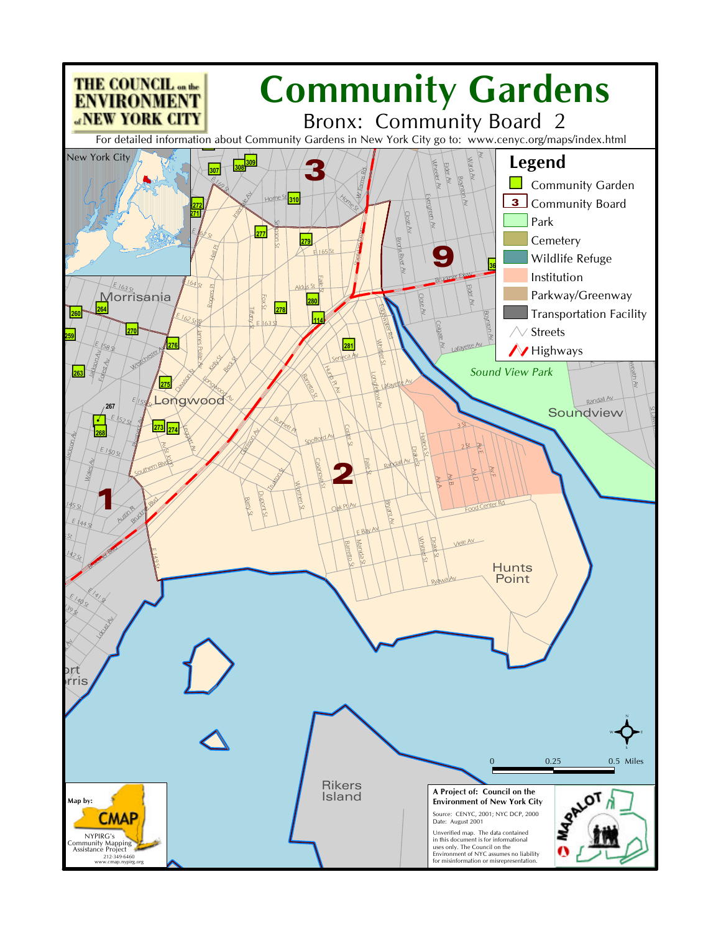